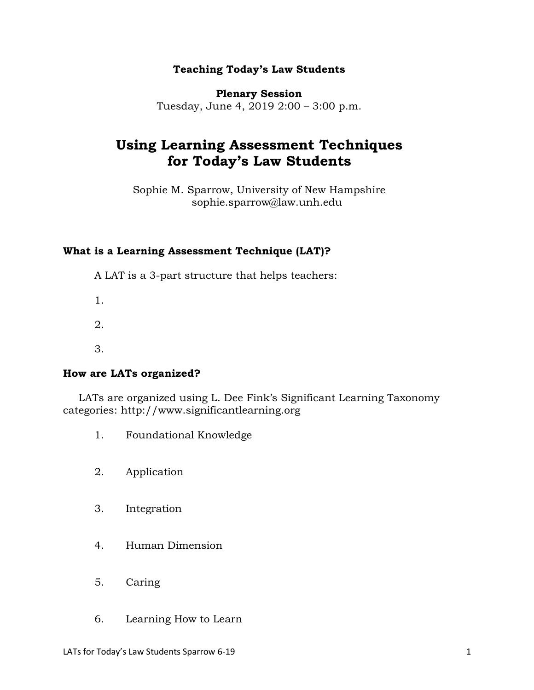#### **Teaching Today's Law Students**

**Plenary Session**

Tuesday, June 4, 2019 2:00 – 3:00 p.m.

# **Using Learning Assessment Techniques for Today's Law Students**

Sophie M. Sparrow, University of New Hampshire sophie.sparrow@law.unh.edu

## **What is a Learning Assessment Technique (LAT)?**

A LAT is a 3-part structure that helps teachers:

1.

2.

3.

# **How are LATs organized?**

LATs are organized using L. Dee Fink's Significant Learning Taxonomy categories: http://www.significantlearning.org

- 1. Foundational Knowledge
- 2. Application
- 3. Integration
- 4. Human Dimension
- 5. Caring
- 6. Learning How to Learn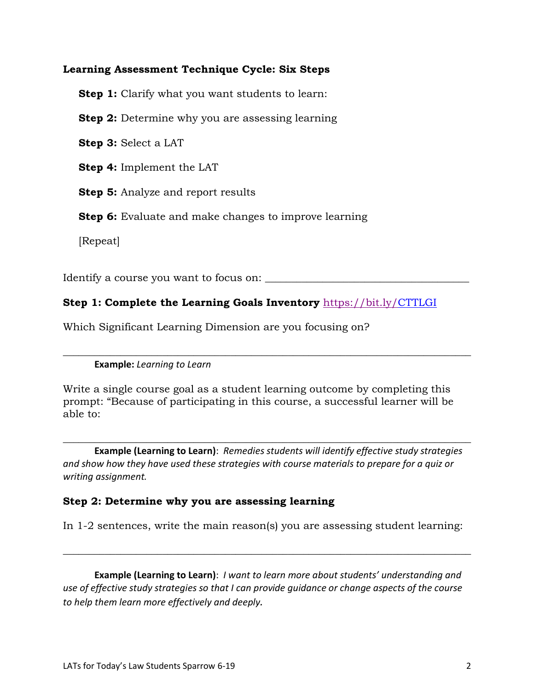## **Learning Assessment Technique Cycle: Six Steps**

**Step 1:** Clarify what you want students to learn:

**Step 2:** Determine why you are assessing learning

**Step 3:** Select a LAT

**Step 4:** Implement the LAT

**Step 5:** Analyze and report results

**Step 6:** Evaluate and make changes to improve learning

[Repeat]

Identify a course you want to focus on:

# **Step 1: Complete the Learning Goals Inventory** https://bit.ly/CTTLGI

Which Significant Learning Dimension are you focusing on?

**Example:** *Learning to Learn*

Write a single course goal as a student learning outcome by completing this prompt: "Because of participating in this course, a successful learner will be able to:

\_\_\_\_\_\_\_\_\_\_\_\_\_\_\_\_\_\_\_\_\_\_\_\_\_\_\_\_\_\_\_\_\_\_\_\_\_\_\_\_\_\_\_\_\_\_\_\_\_\_\_\_\_\_\_\_\_\_\_\_\_\_\_\_\_\_\_\_\_\_\_\_\_\_\_\_\_\_

**Example (Learning to Learn)**: *Remedies students will identify effective study strategies and show how they have used these strategies with course materials to prepare for a quiz or writing assignment.*

\_\_\_\_\_\_\_\_\_\_\_\_\_\_\_\_\_\_\_\_\_\_\_\_\_\_\_\_\_\_\_\_\_\_\_\_\_\_\_\_\_\_\_\_\_\_\_\_\_\_\_\_\_\_\_\_\_\_\_\_\_\_\_\_\_\_\_\_\_\_\_\_\_\_\_\_\_\_

#### **Step 2: Determine why you are assessing learning**

In 1-2 sentences, write the main reason(s) you are assessing student learning:

\_\_\_\_\_\_\_\_\_\_\_\_\_\_\_\_\_\_\_\_\_\_\_\_\_\_\_\_\_\_\_\_\_\_\_\_\_\_\_\_\_\_\_\_\_\_\_\_\_\_\_\_\_\_\_\_\_\_\_\_\_\_\_\_\_\_\_\_\_\_\_\_\_\_\_\_\_\_

**Example (Learning to Learn)**: *I want to learn more about students' understanding and use of effective study strategies so that I can provide guidance or change aspects of the course to help them learn more effectively and deeply.*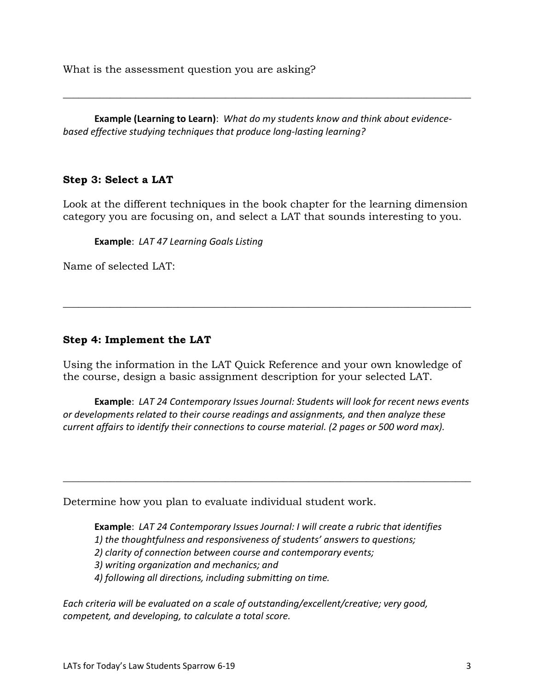What is the assessment question you are asking?

**Example (Learning to Learn)**: *What do my students know and think about evidencebased effective studying techniques that produce long-lasting learning?*

\_\_\_\_\_\_\_\_\_\_\_\_\_\_\_\_\_\_\_\_\_\_\_\_\_\_\_\_\_\_\_\_\_\_\_\_\_\_\_\_\_\_\_\_\_\_\_\_\_\_\_\_\_\_\_\_\_\_\_\_\_\_\_\_\_\_\_\_\_\_\_\_\_\_\_\_\_\_

## **Step 3: Select a LAT**

Look at the different techniques in the book chapter for the learning dimension category you are focusing on, and select a LAT that sounds interesting to you.

**Example**: *LAT 47 Learning Goals Listing*

Name of selected LAT:

## **Step 4: Implement the LAT**

Using the information in the LAT Quick Reference and your own knowledge of the course, design a basic assignment description for your selected LAT.

\_\_\_\_\_\_\_\_\_\_\_\_\_\_\_\_\_\_\_\_\_\_\_\_\_\_\_\_\_\_\_\_\_\_\_\_\_\_\_\_\_\_\_\_\_\_\_\_\_\_\_\_\_\_\_\_\_\_\_\_\_\_\_\_\_\_\_\_\_\_\_\_\_\_\_\_\_\_

**Example**: *LAT 24 Contemporary Issues Journal: Students will look for recent news events or developments related to their course readings and assignments, and then analyze these current affairs to identify their connections to course material. (2 pages or 500 word max).*

\_\_\_\_\_\_\_\_\_\_\_\_\_\_\_\_\_\_\_\_\_\_\_\_\_\_\_\_\_\_\_\_\_\_\_\_\_\_\_\_\_\_\_\_\_\_\_\_\_\_\_\_\_\_\_\_\_\_\_\_\_\_\_\_\_\_\_\_\_\_\_\_\_\_\_\_\_\_

Determine how you plan to evaluate individual student work.

**Example**: *LAT 24 Contemporary Issues Journal: I will create a rubric that identifies 1) the thoughtfulness and responsiveness of students' answers to questions; 2) clarity of connection between course and contemporary events; 3) writing organization and mechanics; and 4) following all directions, including submitting on time.* 

*Each criteria will be evaluated on a scale of outstanding/excellent/creative; very good, competent, and developing, to calculate a total score.*